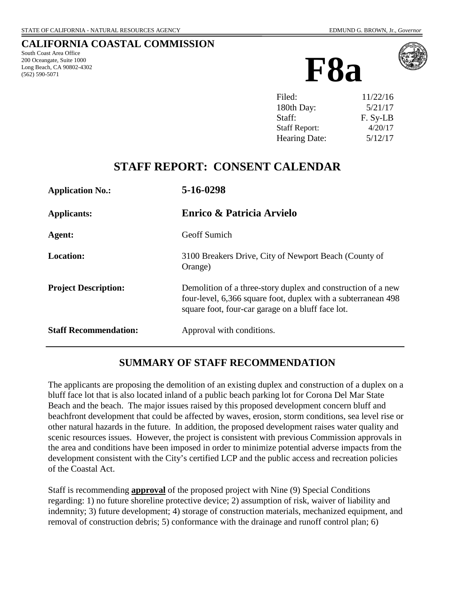#### **CALIFORNIA COASTAL COMMISSION**

South Coast Area Office 200 Oceangate, Suite 1000 Long Beach, CA 90802-4302 (562) 590-5071





| Filed:               | 11/22/16 |
|----------------------|----------|
| 180th Day:           | 5/21/17  |
| Staff:               | F. Sy-LB |
| <b>Staff Report:</b> | 4/20/17  |
| Hearing Date:        | 5/12/17  |

# **STAFF REPORT: CONSENT CALENDAR**

| <b>Application No.:</b>      | 5-16-0298                                                                                                                                                                          |
|------------------------------|------------------------------------------------------------------------------------------------------------------------------------------------------------------------------------|
| <b>Applicants:</b>           | Enrico & Patricia Arvielo                                                                                                                                                          |
| Agent:                       | <b>Geoff Sumich</b>                                                                                                                                                                |
| <b>Location:</b>             | 3100 Breakers Drive, City of Newport Beach (County of<br>Orange)                                                                                                                   |
| <b>Project Description:</b>  | Demolition of a three-story duplex and construction of a new<br>four-level, 6,366 square foot, duplex with a subterranean 498<br>square foot, four-car garage on a bluff face lot. |
| <b>Staff Recommendation:</b> | Approval with conditions.                                                                                                                                                          |

### **SUMMARY OF STAFF RECOMMENDATION**

The applicants are proposing the demolition of an existing duplex and construction of a duplex on a bluff face lot that is also located inland of a public beach parking lot for Corona Del Mar State Beach and the beach. The major issues raised by this proposed development concern bluff and beachfront development that could be affected by waves, erosion, storm conditions, sea level rise or other natural hazards in the future. In addition, the proposed development raises water quality and scenic resources issues. However, the project is consistent with previous Commission approvals in the area and conditions have been imposed in order to minimize potential adverse impacts from the development consistent with the City's certified LCP and the public access and recreation policies of the Coastal Act.

Staff is recommending **approval** of the proposed project with Nine (9) Special Conditions regarding: 1) no future shoreline protective device; 2) assumption of risk, waiver of liability and indemnity; 3) future development; 4) storage of construction materials, mechanized equipment, and removal of construction debris; 5) conformance with the drainage and runoff control plan; 6)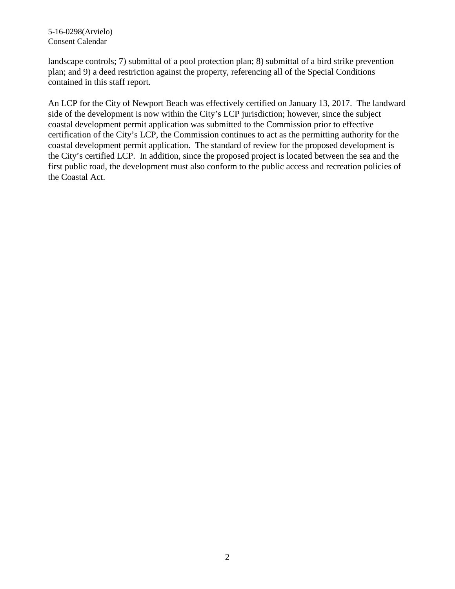5-16-0298(Arvielo) Consent Calendar

landscape controls; 7) submittal of a pool protection plan; 8) submittal of a bird strike prevention plan; and 9) a deed restriction against the property, referencing all of the Special Conditions contained in this staff report.

An LCP for the City of Newport Beach was effectively certified on January 13, 2017. The landward side of the development is now within the City's LCP jurisdiction; however, since the subject coastal development permit application was submitted to the Commission prior to effective certification of the City's LCP, the Commission continues to act as the permitting authority for the coastal development permit application. The standard of review for the proposed development is the City's certified LCP. In addition, since the proposed project is located between the sea and the first public road, the development must also conform to the public access and recreation policies of the Coastal Act.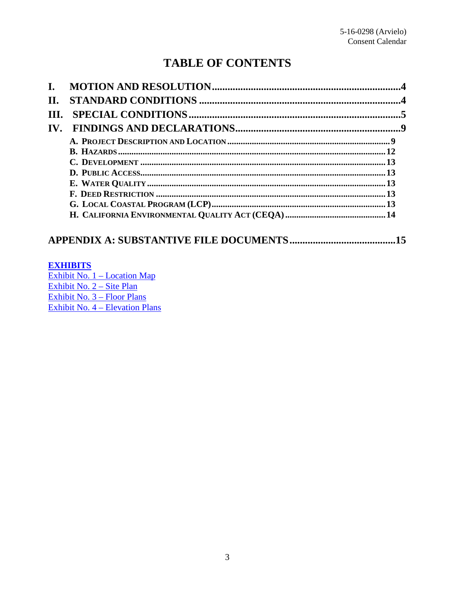# **TABLE OF CONTENTS**

| II.                   |  |
|-----------------------|--|
| III.                  |  |
| $\mathbf{IV}_{\cdot}$ |  |
|                       |  |
|                       |  |
|                       |  |
|                       |  |
|                       |  |
|                       |  |
|                       |  |
|                       |  |

## 

#### **EXHIBITS**

Exhibit No.  $1 -$ Location Map Exhibit No.  $2 - \text{Site Plan}$ Exhibit No.  $3 -$ Floor Plans Exhibit No.  $4 -$ Elevation Plans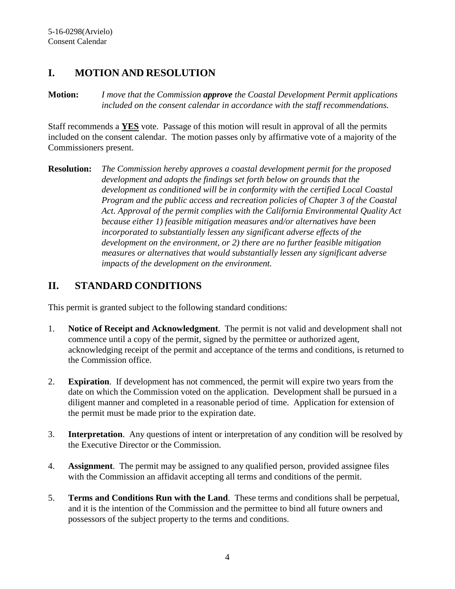### <span id="page-3-0"></span>**I. MOTION AND RESOLUTION**

**Motion:** *I move that the Commission approve the Coastal Development Permit applications included on the consent calendar in accordance with the staff recommendations.*

Staff recommends a **YES** vote. Passage of this motion will result in approval of all the permits included on the consent calendar. The motion passes only by affirmative vote of a majority of the Commissioners present.

**Resolution:** *The Commission hereby approves a coastal development permit for the proposed development and adopts the findings set forth below on grounds that the development as conditioned will be in conformity with the certified Local Coastal Program and the public access and recreation policies of Chapter 3 of the Coastal Act. Approval of the permit complies with the California Environmental Quality Act because either 1) feasible mitigation measures and/or alternatives have been incorporated to substantially lessen any significant adverse effects of the development on the environment, or 2) there are no further feasible mitigation measures or alternatives that would substantially lessen any significant adverse impacts of the development on the environment.*

# <span id="page-3-1"></span>**II. STANDARD CONDITIONS**

This permit is granted subject to the following standard conditions:

- 1. **Notice of Receipt and Acknowledgment**. The permit is not valid and development shall not commence until a copy of the permit, signed by the permittee or authorized agent, acknowledging receipt of the permit and acceptance of the terms and conditions, is returned to the Commission office.
- 2. **Expiration**. If development has not commenced, the permit will expire two years from the date on which the Commission voted on the application. Development shall be pursued in a diligent manner and completed in a reasonable period of time. Application for extension of the permit must be made prior to the expiration date.
- 3. **Interpretation**. Any questions of intent or interpretation of any condition will be resolved by the Executive Director or the Commission.
- 4. **Assignment**. The permit may be assigned to any qualified person, provided assignee files with the Commission an affidavit accepting all terms and conditions of the permit.
- 5. **Terms and Conditions Run with the Land**. These terms and conditions shall be perpetual, and it is the intention of the Commission and the permittee to bind all future owners and possessors of the subject property to the terms and conditions.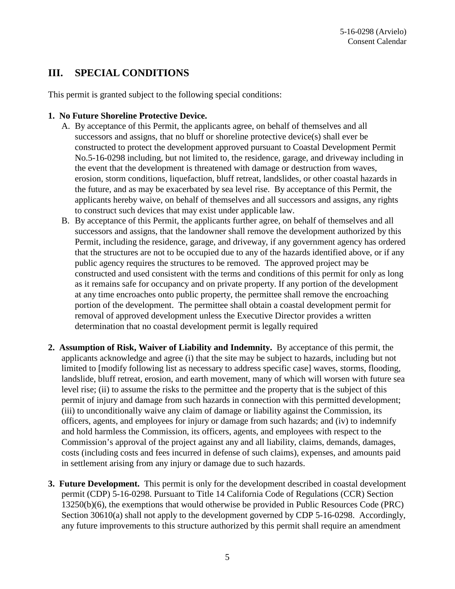### <span id="page-4-0"></span>**III. SPECIAL CONDITIONS**

This permit is granted subject to the following special conditions:

#### <span id="page-4-1"></span>**1. No Future Shoreline Protective Device.**

- A. By acceptance of this Permit, the applicants agree, on behalf of themselves and all successors and assigns, that no bluff or shoreline protective device(s) shall ever be constructed to protect the development approved pursuant to Coastal Development Permit No.5-16-0298 including, but not limited to, the residence, garage, and driveway including in the event that the development is threatened with damage or destruction from waves, erosion, storm conditions, liquefaction, bluff retreat, landslides, or other coastal hazards in the future, and as may be exacerbated by sea level rise. By acceptance of this Permit, the applicants hereby waive, on behalf of themselves and all successors and assigns, any rights to construct such devices that may exist under applicable law.
- B. By acceptance of this Permit, the applicants further agree, on behalf of themselves and all successors and assigns, that the landowner shall remove the development authorized by this Permit, including the residence, garage, and driveway, if any government agency has ordered that the structures are not to be occupied due to any of the hazards identified above, or if any public agency requires the structures to be removed. The approved project may be constructed and used consistent with the terms and conditions of this permit for only as long as it remains safe for occupancy and on private property. If any portion of the development at any time encroaches onto public property, the permittee shall remove the encroaching portion of the development. The permittee shall obtain a coastal development permit for removal of approved development unless the Executive Director provides a written determination that no coastal development permit is legally required
- <span id="page-4-2"></span>**2. Assumption of Risk, Waiver of Liability and Indemnity.** By acceptance of this permit, the applicants acknowledge and agree (i) that the site may be subject to hazards, including but not limited to [modify following list as necessary to address specific case] waves, storms, flooding, landslide, bluff retreat, erosion, and earth movement, many of which will worsen with future sea level rise; (ii) to assume the risks to the permittee and the property that is the subject of this permit of injury and damage from such hazards in connection with this permitted development; (iii) to unconditionally waive any claim of damage or liability against the Commission, its officers, agents, and employees for injury or damage from such hazards; and (iv) to indemnify and hold harmless the Commission, its officers, agents, and employees with respect to the Commission's approval of the project against any and all liability, claims, demands, damages, costs (including costs and fees incurred in defense of such claims), expenses, and amounts paid in settlement arising from any injury or damage due to such hazards.
- <span id="page-4-3"></span>**3. Future Development.** This permit is only for the development described in coastal development permit (CDP) 5-16-0298. Pursuant to Title 14 California Code of Regulations (CCR) Section 13250(b)(6), the exemptions that would otherwise be provided in Public Resources Code (PRC) Section 30610(a) shall not apply to the development governed by CDP 5-16-0298. Accordingly, any future improvements to this structure authorized by this permit shall require an amendment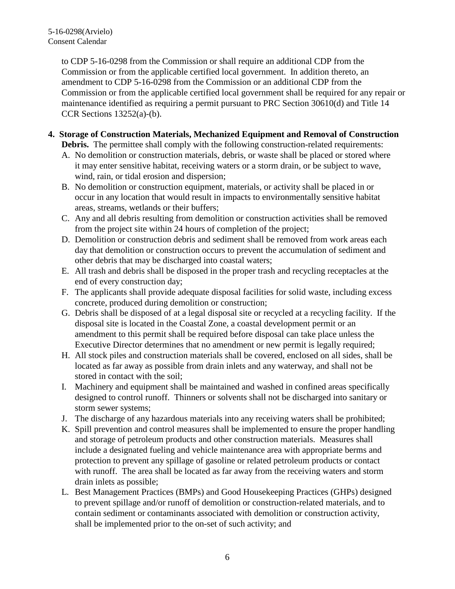to CDP 5-16-0298 from the Commission or shall require an additional CDP from the Commission or from the applicable certified local government. In addition thereto, an amendment to CDP 5-16-0298 from the Commission or an additional CDP from the Commission or from the applicable certified local government shall be required for any repair or maintenance identified as requiring a permit pursuant to PRC Section 30610(d) and Title 14 CCR Sections  $13252(a)-(b)$ .

#### <span id="page-5-0"></span>**4. Storage of Construction Materials, Mechanized Equipment and Removal of Construction**

**Debris.** The permittee shall comply with the following construction-related requirements:

- A. No demolition or construction materials, debris, or waste shall be placed or stored where it may enter sensitive habitat, receiving waters or a storm drain, or be subject to wave, wind, rain, or tidal erosion and dispersion;
- B. No demolition or construction equipment, materials, or activity shall be placed in or occur in any location that would result in impacts to environmentally sensitive habitat areas, streams, wetlands or their buffers;
- C. Any and all debris resulting from demolition or construction activities shall be removed from the project site within 24 hours of completion of the project;
- D. Demolition or construction debris and sediment shall be removed from work areas each day that demolition or construction occurs to prevent the accumulation of sediment and other debris that may be discharged into coastal waters;
- E. All trash and debris shall be disposed in the proper trash and recycling receptacles at the end of every construction day;
- F. The applicants shall provide adequate disposal facilities for solid waste, including excess concrete, produced during demolition or construction;
- G. Debris shall be disposed of at a legal disposal site or recycled at a recycling facility. If the disposal site is located in the Coastal Zone, a coastal development permit or an amendment to this permit shall be required before disposal can take place unless the Executive Director determines that no amendment or new permit is legally required;
- H. All stock piles and construction materials shall be covered, enclosed on all sides, shall be located as far away as possible from drain inlets and any waterway, and shall not be stored in contact with the soil;
- I. Machinery and equipment shall be maintained and washed in confined areas specifically designed to control runoff. Thinners or solvents shall not be discharged into sanitary or storm sewer systems;
- J. The discharge of any hazardous materials into any receiving waters shall be prohibited;
- K. Spill prevention and control measures shall be implemented to ensure the proper handling and storage of petroleum products and other construction materials. Measures shall include a designated fueling and vehicle maintenance area with appropriate berms and protection to prevent any spillage of gasoline or related petroleum products or contact with runoff. The area shall be located as far away from the receiving waters and storm drain inlets as possible;
- L. Best Management Practices (BMPs) and Good Housekeeping Practices (GHPs) designed to prevent spillage and/or runoff of demolition or construction-related materials, and to contain sediment or contaminants associated with demolition or construction activity, shall be implemented prior to the on-set of such activity; and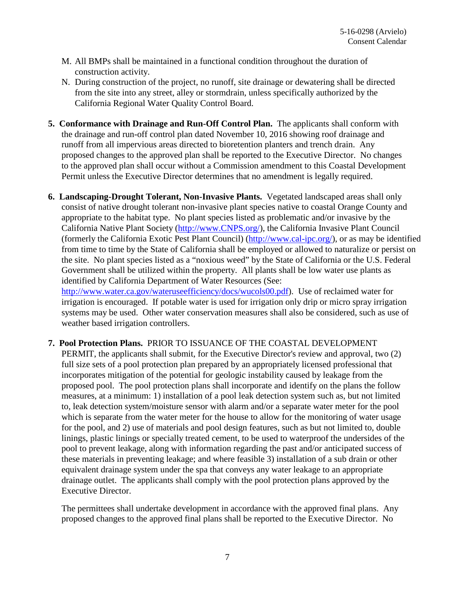- M. All BMPs shall be maintained in a functional condition throughout the duration of construction activity.
- N. During construction of the project, no runoff, site drainage or dewatering shall be directed from the site into any street, alley or stormdrain, unless specifically authorized by the California Regional Water Quality Control Board.
- <span id="page-6-0"></span>**5. Conformance with Drainage and Run-Off Control Plan.** The applicants shall conform with the drainage and run-off control plan dated November 10, 2016 showing roof drainage and runoff from all impervious areas directed to bioretention planters and trench drain. Any proposed changes to the approved plan shall be reported to the Executive Director. No changes to the approved plan shall occur without a Commission amendment to this Coastal Development Permit unless the Executive Director determines that no amendment is legally required.
- <span id="page-6-1"></span>**6. Landscaping-Drought Tolerant, Non-Invasive Plants.** Vegetated landscaped areas shall only consist of native drought tolerant non-invasive plant species native to coastal Orange County and appropriate to the habitat type. No plant species listed as problematic and/or invasive by the California Native Plant Society [\(http://www.CNPS.org/\)](http://www.cnps.org/), the California Invasive Plant Council (formerly the California Exotic Pest Plant Council) [\(http://www.cal-ipc.org/\)](http://www.cal-ipc.org/), or as may be identified from time to time by the State of California shall be employed or allowed to naturalize or persist on the site. No plant species listed as a "noxious weed" by the State of California or the U.S. Federal Government shall be utilized within the property. All plants shall be low water use plants as identified by California Department of Water Resources (See: [http://www.water.ca.gov/wateruseefficiency/docs/wucols00.pdf\)](http://www.water.ca.gov/wateruseefficiency/docs/wucols00.pdf). Use of reclaimed water for

irrigation is encouraged. If potable water is used for irrigation only drip or micro spray irrigation systems may be used. Other water conservation measures shall also be considered, such as use of weather based irrigation controllers.

#### <span id="page-6-2"></span>**7. Pool Protection Plans.** PRIOR TO ISSUANCE OF THE COASTAL DEVELOPMENT

PERMIT, the applicants shall submit, for the Executive Director's review and approval, two (2) full size sets of a pool protection plan prepared by an appropriately licensed professional that incorporates mitigation of the potential for geologic instability caused by leakage from the proposed pool. The pool protection plans shall incorporate and identify on the plans the follow measures, at a minimum: 1) installation of a pool leak detection system such as, but not limited to, leak detection system/moisture sensor with alarm and/or a separate water meter for the pool which is separate from the water meter for the house to allow for the monitoring of water usage for the pool, and 2) use of materials and pool design features, such as but not limited to, double linings, plastic linings or specially treated cement, to be used to waterproof the undersides of the pool to prevent leakage, along with information regarding the past and/or anticipated success of these materials in preventing leakage; and where feasible 3) installation of a sub drain or other equivalent drainage system under the spa that conveys any water leakage to an appropriate drainage outlet. The applicants shall comply with the pool protection plans approved by the Executive Director.

The permittees shall undertake development in accordance with the approved final plans. Any proposed changes to the approved final plans shall be reported to the Executive Director. No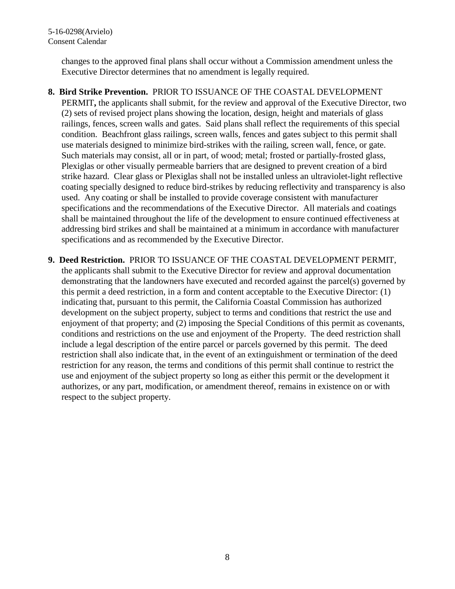changes to the approved final plans shall occur without a Commission amendment unless the Executive Director determines that no amendment is legally required.

- <span id="page-7-0"></span>**8. Bird Strike Prevention.** PRIOR TO ISSUANCE OF THE COASTAL DEVELOPMENT PERMIT**,** the applicants shall submit, for the review and approval of the Executive Director, two (2) sets of revised project plans showing the location, design, height and materials of glass railings, fences, screen walls and gates. Said plans shall reflect the requirements of this special condition. Beachfront glass railings, screen walls, fences and gates subject to this permit shall use materials designed to minimize bird-strikes with the railing, screen wall, fence, or gate. Such materials may consist, all or in part, of wood; metal; frosted or partially-frosted glass, Plexiglas or other visually permeable barriers that are designed to prevent creation of a bird strike hazard. Clear glass or Plexiglas shall not be installed unless an ultraviolet-light reflective coating specially designed to reduce bird-strikes by reducing reflectivity and transparency is also used. Any coating or shall be installed to provide coverage consistent with manufacturer specifications and the recommendations of the Executive Director. All materials and coatings shall be maintained throughout the life of the development to ensure continued effectiveness at addressing bird strikes and shall be maintained at a minimum in accordance with manufacturer specifications and as recommended by the Executive Director.
- <span id="page-7-1"></span>**9. Deed Restriction.** PRIOR TO ISSUANCE OF THE COASTAL DEVELOPMENT PERMIT, the applicants shall submit to the Executive Director for review and approval documentation demonstrating that the landowners have executed and recorded against the parcel(s) governed by this permit a deed restriction, in a form and content acceptable to the Executive Director: (1) indicating that, pursuant to this permit, the California Coastal Commission has authorized development on the subject property, subject to terms and conditions that restrict the use and enjoyment of that property; and (2) imposing the Special Conditions of this permit as covenants, conditions and restrictions on the use and enjoyment of the Property. The deed restriction shall include a legal description of the entire parcel or parcels governed by this permit. The deed restriction shall also indicate that, in the event of an extinguishment or termination of the deed restriction for any reason, the terms and conditions of this permit shall continue to restrict the use and enjoyment of the subject property so long as either this permit or the development it authorizes, or any part, modification, or amendment thereof, remains in existence on or with respect to the subject property.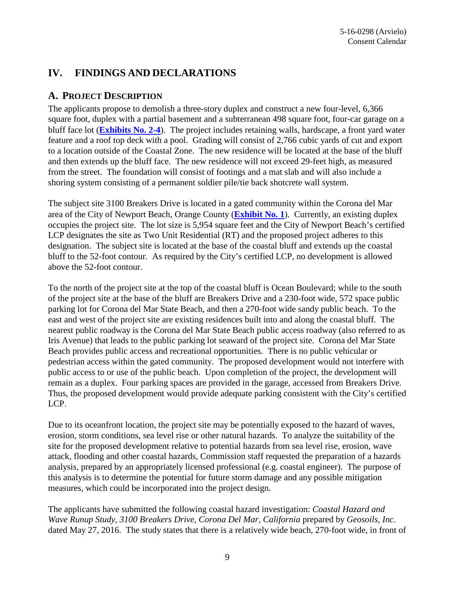### <span id="page-8-0"></span>**IV. FINDINGS AND DECLARATIONS**

#### <span id="page-8-1"></span>**A. PROJECT DESCRIPTION**

The applicants propose to demolish a three-story duplex and construct a new four-level, 6,366 square foot, duplex with a partial basement and a subterranean 498 square foot, four-car garage on a bluff face lot (**[Exhibits No. 2-4](https://documents.coastal.ca.gov/reports/2017/5/F8a/F8a-5-2017-exhibits.pdf%20https:/documents.coastal.ca.gov/reports/2017/5/F8a/F8a-5-2017-report.pdf)**). The project includes retaining walls, hardscape, a front yard water feature and a roof top deck with a pool. Grading will consist of 2,766 cubic yards of cut and export to a location outside of the Coastal Zone. The new residence will be located at the base of the bluff and then extends up the bluff face. The new residence will not exceed 29-feet high, as measured from the street. The foundation will consist of footings and a mat slab and will also include a shoring system consisting of a permanent soldier pile/tie back shotcrete wall system.

The subject site 3100 Breakers Drive is located in a gated community within the Corona del Mar area of the City of Newport Beach, Orange County (**[Exhibit No. 1](https://documents.coastal.ca.gov/reports/2017/5/F8a/F8a-5-2017-exhibits.pdf%20https:/documents.coastal.ca.gov/reports/2017/5/F8a/F8a-5-2017-report.pdf)**). Currently, an existing duplex occupies the project site. The lot size is 5,954 square feet and the City of Newport Beach's certified LCP designates the site as Two Unit Residential (RT) and the proposed project adheres to this designation. The subject site is located at the base of the coastal bluff and extends up the coastal bluff to the 52-foot contour. As required by the City's certified LCP, no development is allowed above the 52-foot contour.

To the north of the project site at the top of the coastal bluff is Ocean Boulevard; while to the south of the project site at the base of the bluff are Breakers Drive and a 230-foot wide, 572 space public parking lot for Corona del Mar State Beach, and then a 270-foot wide sandy public beach. To the east and west of the project site are existing residences built into and along the coastal bluff. The nearest public roadway is the Corona del Mar State Beach public access roadway (also referred to as Iris Avenue) that leads to the public parking lot seaward of the project site. Corona del Mar State Beach provides public access and recreational opportunities. There is no public vehicular or pedestrian access within the gated community. The proposed development would not interfere with public access to or use of the public beach. Upon completion of the project, the development will remain as a duplex. Four parking spaces are provided in the garage, accessed from Breakers Drive. Thus, the proposed development would provide adequate parking consistent with the City's certified LCP.

Due to its oceanfront location, the project site may be potentially exposed to the hazard of waves, erosion, storm conditions, sea level rise or other natural hazards. To analyze the suitability of the site for the proposed development relative to potential hazards from sea level rise, erosion, wave attack, flooding and other coastal hazards, Commission staff requested the preparation of a hazards analysis, prepared by an appropriately licensed professional (e.g. coastal engineer). The purpose of this analysis is to determine the potential for future storm damage and any possible mitigation measures, which could be incorporated into the project design.

The applicants have submitted the following coastal hazard investigation: *Coastal Hazard and Wave Runup Study, 3100 Breakers Drive, Corona Del Mar, California* prepared by *Geosoils, Inc*. dated May 27, 2016. The study states that there is a relatively wide beach, 270-foot wide, in front of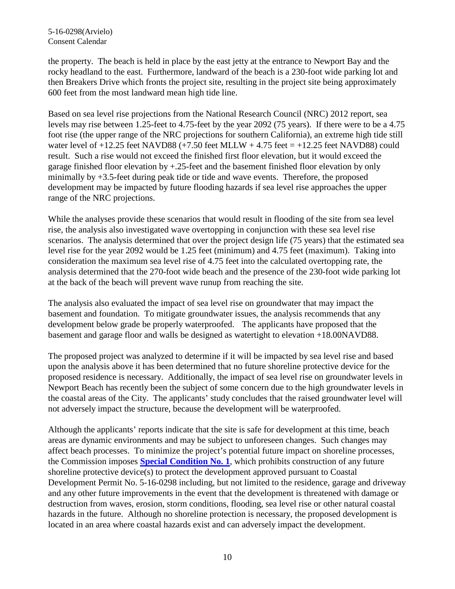the property. The beach is held in place by the east jetty at the entrance to Newport Bay and the rocky headland to the east. Furthermore, landward of the beach is a 230-foot wide parking lot and then Breakers Drive which fronts the project site, resulting in the project site being approximately 600 feet from the most landward mean high tide line.

Based on sea level rise projections from the National Research Council (NRC) 2012 report, sea levels may rise between 1.25-feet to 4.75-feet by the year 2092 (75 years). If there were to be a 4.75 foot rise (the upper range of the NRC projections for southern California), an extreme high tide still water level of  $+12.25$  feet NAVD88 ( $+7.50$  feet MLLW  $+4.75$  feet  $= +12.25$  feet NAVD88) could result. Such a rise would not exceed the finished first floor elevation, but it would exceed the garage finished floor elevation by +.25-feet and the basement finished floor elevation by only minimally by +3.5-feet during peak tide or tide and wave events. Therefore, the proposed development may be impacted by future flooding hazards if sea level rise approaches the upper range of the NRC projections.

While the analyses provide these scenarios that would result in flooding of the site from sea level rise, the analysis also investigated wave overtopping in conjunction with these sea level rise scenarios. The analysis determined that over the project design life (75 years) that the estimated sea level rise for the year 2092 would be 1.25 feet (minimum) and 4.75 feet (maximum). Taking into consideration the maximum sea level rise of 4.75 feet into the calculated overtopping rate, the analysis determined that the 270-foot wide beach and the presence of the 230-foot wide parking lot at the back of the beach will prevent wave runup from reaching the site.

The analysis also evaluated the impact of sea level rise on groundwater that may impact the basement and foundation. To mitigate groundwater issues, the analysis recommends that any development below grade be properly waterproofed. The applicants have proposed that the basement and garage floor and walls be designed as watertight to elevation +18.00NAVD88.

The proposed project was analyzed to determine if it will be impacted by sea level rise and based upon the analysis above it has been determined that no future shoreline protective device for the proposed residence is necessary. Additionally, the impact of sea level rise on groundwater levels in Newport Beach has recently been the subject of some concern due to the high groundwater levels in the coastal areas of the City. The applicants' study concludes that the raised groundwater level will not adversely impact the structure, because the development will be waterproofed.

Although the applicants' reports indicate that the site is safe for development at this time, beach areas are dynamic environments and may be subject to unforeseen changes. Such changes may affect beach processes. To minimize the project's potential future impact on shoreline processes, the Commission imposes **[Special Condition No. 1](#page-4-1)**, which prohibits construction of any future shoreline protective device(s) to protect the development approved pursuant to Coastal Development Permit No. 5-16-0298 including, but not limited to the residence, garage and driveway and any other future improvements in the event that the development is threatened with damage or destruction from waves, erosion, storm conditions, flooding, sea level rise or other natural coastal hazards in the future. Although no shoreline protection is necessary, the proposed development is located in an area where coastal hazards exist and can adversely impact the development.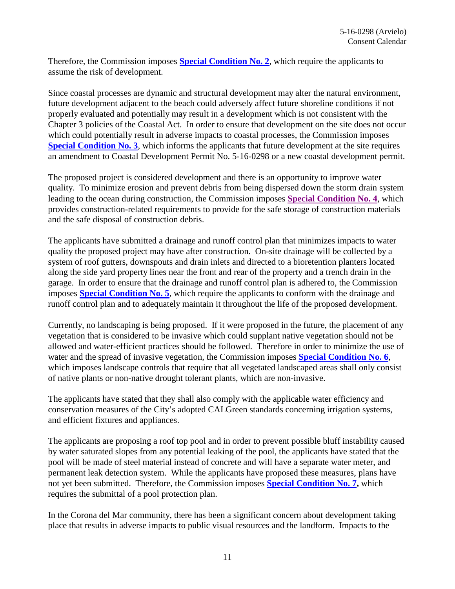Therefore, the Commission imposes **[Special Condition No. 2](#page-4-2)**, which require the applicants to assume the risk of development.

Since coastal processes are dynamic and structural development may alter the natural environment, future development adjacent to the beach could adversely affect future shoreline conditions if not properly evaluated and potentially may result in a development which is not consistent with the Chapter 3 policies of the Coastal Act. In order to ensure that development on the site does not occur which could potentially result in adverse impacts to coastal processes, the Commission imposes **[Special Condition No. 3](#page-4-3)**, which informs the applicants that future development at the site requires an amendment to Coastal Development Permit No. 5-16-0298 or a new coastal development permit.

The proposed project is considered development and there is an opportunity to improve water quality. To minimize erosion and prevent debris from being dispersed down the storm drain system leading to the ocean during construction, the Commission imposes **[Special Condition No. 4](#page-5-0)**, which provides construction-related requirements to provide for the safe storage of construction materials and the safe disposal of construction debris.

The applicants have submitted a drainage and runoff control plan that minimizes impacts to water quality the proposed project may have after construction. On-site drainage will be collected by a system of roof gutters, downspouts and drain inlets and directed to a bioretention planters located along the side yard property lines near the front and rear of the property and a trench drain in the garage. In order to ensure that the drainage and runoff control plan is adhered to, the Commission imposes **[Special Condition No. 5](#page-6-0)**, which require the applicants to conform with the drainage and runoff control plan and to adequately maintain it throughout the life of the proposed development.

Currently, no landscaping is being proposed. If it were proposed in the future, the placement of any vegetation that is considered to be invasive which could supplant native vegetation should not be allowed and water-efficient practices should be followed. Therefore in order to minimize the use of water and the spread of invasive vegetation, the Commission imposes **[Special Condition No. 6](#page-6-1)**, which imposes landscape controls that require that all vegetated landscaped areas shall only consist of native plants or non-native drought tolerant plants, which are non-invasive.

The applicants have stated that they shall also comply with the applicable water efficiency and conservation measures of the City's adopted CALGreen standards concerning irrigation systems, and efficient fixtures and appliances.

The applicants are proposing a roof top pool and in order to prevent possible bluff instability caused by water saturated slopes from any potential leaking of the pool, the applicants have stated that the pool will be made of steel material instead of concrete and will have a separate water meter, and permanent leak detection system. While the applicants have proposed these measures, plans have not yet been submitted. Therefore, the Commission imposes **[Special Condition No. 7,](#page-6-2)** which requires the submittal of a pool protection plan.

In the Corona del Mar community, there has been a significant concern about development taking place that results in adverse impacts to public visual resources and the landform. Impacts to the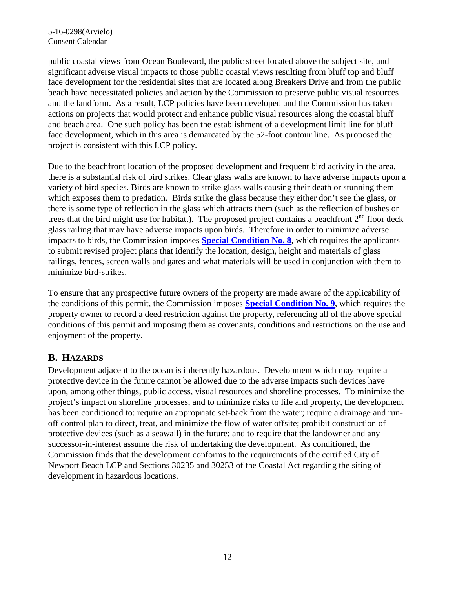public coastal views from Ocean Boulevard, the public street located above the subject site, and significant adverse visual impacts to those public coastal views resulting from bluff top and bluff face development for the residential sites that are located along Breakers Drive and from the public beach have necessitated policies and action by the Commission to preserve public visual resources and the landform. As a result, LCP policies have been developed and the Commission has taken actions on projects that would protect and enhance public visual resources along the coastal bluff and beach area. One such policy has been the establishment of a development limit line for bluff face development, which in this area is demarcated by the 52-foot contour line. As proposed the project is consistent with this LCP policy.

Due to the beachfront location of the proposed development and frequent bird activity in the area, there is a substantial risk of bird strikes. Clear glass walls are known to have adverse impacts upon a variety of bird species. Birds are known to strike glass walls causing their death or stunning them which exposes them to predation. Birds strike the glass because they either don't see the glass, or there is some type of reflection in the glass which attracts them (such as the reflection of bushes or trees that the bird might use for habitat.). The proposed project contains a beachfront  $2<sup>nd</sup>$  floor deck glass railing that may have adverse impacts upon birds. Therefore in order to minimize adverse impacts to birds, the Commission imposes **[Special Condition No. 8](#page-7-0)**, which requires the applicants to submit revised project plans that identify the location, design, height and materials of glass railings, fences, screen walls and gates and what materials will be used in conjunction with them to minimize bird-strikes.

To ensure that any prospective future owners of the property are made aware of the applicability of the conditions of this permit, the Commission imposes **[Special Condition No. 9](#page-7-1)**, which requires the property owner to record a deed restriction against the property, referencing all of the above special conditions of this permit and imposing them as covenants, conditions and restrictions on the use and enjoyment of the property.

#### <span id="page-11-0"></span>**B. HAZARDS**

Development adjacent to the ocean is inherently hazardous. Development which may require a protective device in the future cannot be allowed due to the adverse impacts such devices have upon, among other things, public access, visual resources and shoreline processes. To minimize the project's impact on shoreline processes, and to minimize risks to life and property, the development has been conditioned to: require an appropriate set-back from the water; require a drainage and runoff control plan to direct, treat, and minimize the flow of water offsite; prohibit construction of protective devices (such as a seawall) in the future; and to require that the landowner and any successor-in-interest assume the risk of undertaking the development. As conditioned, the Commission finds that the development conforms to the requirements of the certified City of Newport Beach LCP and Sections 30235 and 30253 of the Coastal Act regarding the siting of development in hazardous locations.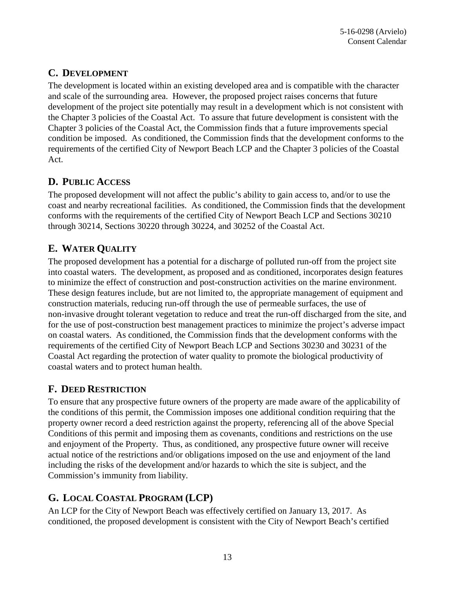## <span id="page-12-0"></span>**C. DEVELOPMENT**

The development is located within an existing developed area and is compatible with the character and scale of the surrounding area. However, the proposed project raises concerns that future development of the project site potentially may result in a development which is not consistent with the Chapter 3 policies of the Coastal Act. To assure that future development is consistent with the Chapter 3 policies of the Coastal Act, the Commission finds that a future improvements special condition be imposed. As conditioned, the Commission finds that the development conforms to the requirements of the certified City of Newport Beach LCP and the Chapter 3 policies of the Coastal Act.

### <span id="page-12-1"></span>**D. PUBLIC ACCESS**

The proposed development will not affect the public's ability to gain access to, and/or to use the coast and nearby recreational facilities. As conditioned, the Commission finds that the development conforms with the requirements of the certified City of Newport Beach LCP and Sections 30210 through 30214, Sections 30220 through 30224, and 30252 of the Coastal Act.

# <span id="page-12-2"></span>**E. WATER QUALITY**

The proposed development has a potential for a discharge of polluted run-off from the project site into coastal waters. The development, as proposed and as conditioned, incorporates design features to minimize the effect of construction and post-construction activities on the marine environment. These design features include, but are not limited to, the appropriate management of equipment and construction materials, reducing run-off through the use of permeable surfaces, the use of non-invasive drought tolerant vegetation to reduce and treat the run-off discharged from the site, and for the use of post-construction best management practices to minimize the project's adverse impact on coastal waters. As conditioned, the Commission finds that the development conforms with the requirements of the certified City of Newport Beach LCP and Sections 30230 and 30231 of the Coastal Act regarding the protection of water quality to promote the biological productivity of coastal waters and to protect human health.

## <span id="page-12-3"></span>**F. DEED RESTRICTION**

To ensure that any prospective future owners of the property are made aware of the applicability of the conditions of this permit, the Commission imposes one additional condition requiring that the property owner record a deed restriction against the property, referencing all of the above Special Conditions of this permit and imposing them as covenants, conditions and restrictions on the use and enjoyment of the Property. Thus, as conditioned, any prospective future owner will receive actual notice of the restrictions and/or obligations imposed on the use and enjoyment of the land including the risks of the development and/or hazards to which the site is subject, and the Commission's immunity from liability.

# <span id="page-12-4"></span>**G. LOCAL COASTAL PROGRAM (LCP)**

An LCP for the City of Newport Beach was effectively certified on January 13, 2017. As conditioned, the proposed development is consistent with the City of Newport Beach's certified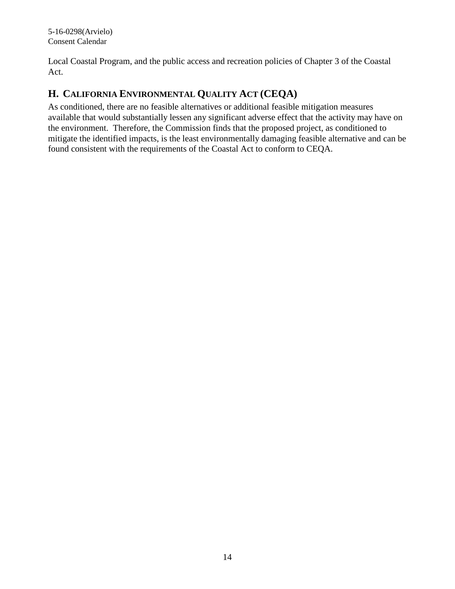Local Coastal Program, and the public access and recreation policies of Chapter 3 of the Coastal Act.

### <span id="page-13-0"></span>**H. CALIFORNIA ENVIRONMENTAL QUALITY ACT (CEQA)**

As conditioned, there are no feasible alternatives or additional feasible mitigation measures available that would substantially lessen any significant adverse effect that the activity may have on the environment. Therefore, the Commission finds that the proposed project, as conditioned to mitigate the identified impacts, is the least environmentally damaging feasible alternative and can be found consistent with the requirements of the Coastal Act to conform to CEQA.